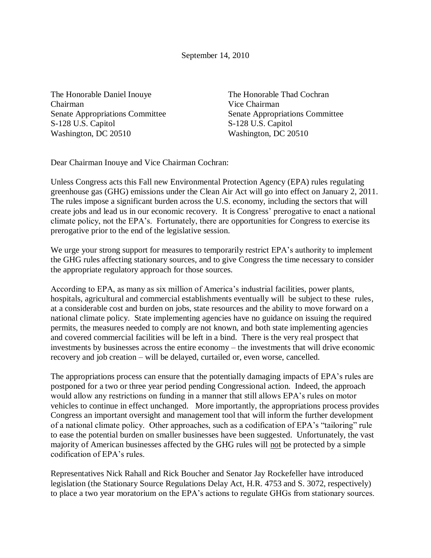September 14, 2010

The Honorable Daniel Inouye The Honorable Thad Cochran Chairman Vice Chairman S-128 U.S. Capitol S-128 U.S. Capitol Washington, DC 20510 Washington, DC 20510

Senate Appropriations Committee Senate Appropriations Committee

Dear Chairman Inouye and Vice Chairman Cochran:

Unless Congress acts this Fall new Environmental Protection Agency (EPA) rules regulating greenhouse gas (GHG) emissions under the Clean Air Act will go into effect on January 2, 2011. The rules impose a significant burden across the U.S. economy, including the sectors that will create jobs and lead us in our economic recovery. It is Congress' prerogative to enact a national climate policy, not the EPA's. Fortunately, there are opportunities for Congress to exercise its prerogative prior to the end of the legislative session.

We urge your strong support for measures to temporarily restrict EPA's authority to implement the GHG rules affecting stationary sources, and to give Congress the time necessary to consider the appropriate regulatory approach for those sources.

According to EPA, as many as six million of America's industrial facilities, power plants, hospitals, agricultural and commercial establishments eventually will be subject to these rules, at a considerable cost and burden on jobs, state resources and the ability to move forward on a national climate policy. State implementing agencies have no guidance on issuing the required permits, the measures needed to comply are not known, and both state implementing agencies and covered commercial facilities will be left in a bind. There is the very real prospect that investments by businesses across the entire economy – the investments that will drive economic recovery and job creation – will be delayed, curtailed or, even worse, cancelled.

The appropriations process can ensure that the potentially damaging impacts of EPA's rules are postponed for a two or three year period pending Congressional action. Indeed, the approach would allow any restrictions on funding in a manner that still allows EPA's rules on motor vehicles to continue in effect unchanged. More importantly, the appropriations process provides Congress an important oversight and management tool that will inform the further development of a national climate policy. Other approaches, such as a codification of EPA's "tailoring" rule to ease the potential burden on smaller businesses have been suggested. Unfortunately, the vast majority of American businesses affected by the GHG rules will not be protected by a simple codification of EPA's rules.

Representatives Nick Rahall and Rick Boucher and Senator Jay Rockefeller have introduced legislation (the Stationary Source Regulations Delay Act, H.R. 4753 and S. 3072, respectively) to place a two year moratorium on the EPA's actions to regulate GHGs from stationary sources.